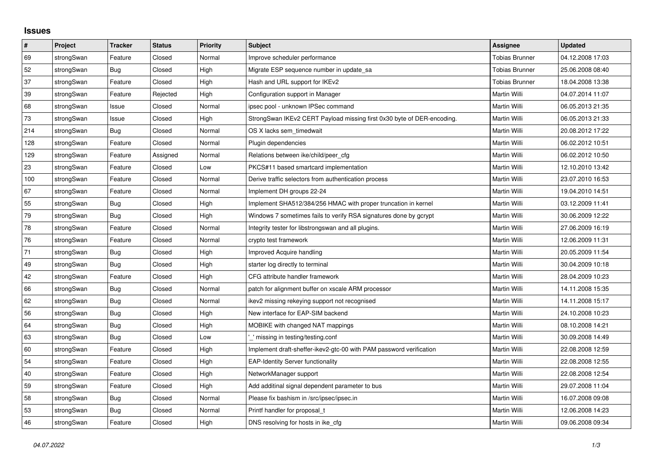## **Issues**

| #   | Project    | <b>Tracker</b> | <b>Status</b> | Priority | <b>Subject</b>                                                         | <b>Assignee</b>       | <b>Updated</b>   |
|-----|------------|----------------|---------------|----------|------------------------------------------------------------------------|-----------------------|------------------|
| 69  | strongSwan | Feature        | Closed        | Normal   | Improve scheduler performance                                          | Tobias Brunner        | 04.12.2008 17:03 |
| 52  | strongSwan | <b>Bug</b>     | Closed        | High     | Migrate ESP sequence number in update sa                               | <b>Tobias Brunner</b> | 25.06.2008 08:40 |
| 37  | strongSwan | Feature        | Closed        | High     | Hash and URL support for IKEv2                                         | <b>Tobias Brunner</b> | 18.04.2008 13:38 |
| 39  | strongSwan | Feature        | Rejected      | High     | Configuration support in Manager                                       | Martin Willi          | 04.07.2014 11:07 |
| 68  | strongSwan | Issue          | Closed        | Normal   | ipsec pool - unknown IPSec command                                     | Martin Willi          | 06.05.2013 21:35 |
| 73  | strongSwan | Issue          | Closed        | High     | StrongSwan IKEv2 CERT Payload missing first 0x30 byte of DER-encoding. | Martin Willi          | 06.05.2013 21:33 |
| 214 | strongSwan | Bug            | Closed        | Normal   | OS X lacks sem timedwait                                               | Martin Willi          | 20.08.2012 17:22 |
| 128 | strongSwan | Feature        | Closed        | Normal   | Plugin dependencies                                                    | Martin Willi          | 06.02.2012 10:51 |
| 129 | strongSwan | Feature        | Assigned      | Normal   | Relations between ike/child/peer cfg                                   | Martin Willi          | 06.02.2012 10:50 |
| 23  | strongSwan | Feature        | Closed        | Low      | PKCS#11 based smartcard implementation                                 | Martin Willi          | 12.10.2010 13:42 |
| 100 | strongSwan | Feature        | Closed        | Normal   | Derive traffic selectors from authentication process                   | Martin Willi          | 23.07.2010 16:53 |
| 67  | strongSwan | Feature        | Closed        | Normal   | Implement DH groups 22-24                                              | Martin Willi          | 19.04.2010 14:51 |
| 55  | strongSwan | Bug            | Closed        | High     | Implement SHA512/384/256 HMAC with proper truncation in kernel         | Martin Willi          | 03.12.2009 11:41 |
| 79  | strongSwan | <b>Bug</b>     | Closed        | High     | Windows 7 sometimes fails to verify RSA signatures done by gcrypt      | Martin Willi          | 30.06.2009 12:22 |
| 78  | strongSwan | Feature        | Closed        | Normal   | Integrity tester for libstrongswan and all plugins.                    | Martin Willi          | 27.06.2009 16:19 |
| 76  | strongSwan | Feature        | Closed        | Normal   | crypto test framework                                                  | Martin Willi          | 12.06.2009 11:31 |
| 71  | strongSwan | Bug            | Closed        | High     | Improved Acquire handling                                              | Martin Willi          | 20.05.2009 11:54 |
| 49  | strongSwan | Bug            | Closed        | High     | starter log directly to terminal                                       | Martin Willi          | 30.04.2009 10:18 |
| 42  | strongSwan | Feature        | Closed        | High     | CFG attribute handler framework                                        | Martin Willi          | 28.04.2009 10:23 |
| 66  | strongSwan | Bug            | Closed        | Normal   | patch for alignment buffer on xscale ARM processor                     | Martin Willi          | 14.11.2008 15:35 |
| 62  | strongSwan | Bug            | Closed        | Normal   | ikev2 missing rekeying support not recognised                          | Martin Willi          | 14.11.2008 15:17 |
| 56  | strongSwan | Bug            | Closed        | High     | New interface for EAP-SIM backend                                      | Martin Willi          | 24.10.2008 10:23 |
| 64  | strongSwan | Bug            | Closed        | High     | MOBIKE with changed NAT mappings                                       | Martin Willi          | 08.10.2008 14:21 |
| 63  | strongSwan | Bug            | Closed        | Low      | missing in testing/testing.conf                                        | Martin Willi          | 30.09.2008 14:49 |
| 60  | strongSwan | Feature        | Closed        | High     | Implement draft-sheffer-ikev2-gtc-00 with PAM password verification    | Martin Willi          | 22.08.2008 12:59 |
| 54  | strongSwan | Feature        | Closed        | High     | <b>EAP-Identity Server functionality</b>                               | Martin Willi          | 22.08.2008 12:55 |
| 40  | strongSwan | Feature        | Closed        | High     | NetworkManager support                                                 | Martin Willi          | 22.08.2008 12:54 |
| 59  | strongSwan | Feature        | Closed        | High     | Add additinal signal dependent parameter to bus                        | Martin Willi          | 29.07.2008 11:04 |
| 58  | strongSwan | Bug            | Closed        | Normal   | Please fix bashism in /src/ipsec/ipsec.in                              | Martin Willi          | 16.07.2008 09:08 |
| 53  | strongSwan | Bug            | Closed        | Normal   | Printf handler for proposal t                                          | Martin Willi          | 12.06.2008 14:23 |
| 46  | strongSwan | Feature        | Closed        | High     | DNS resolving for hosts in ike_cfg                                     | Martin Willi          | 09.06.2008 09:34 |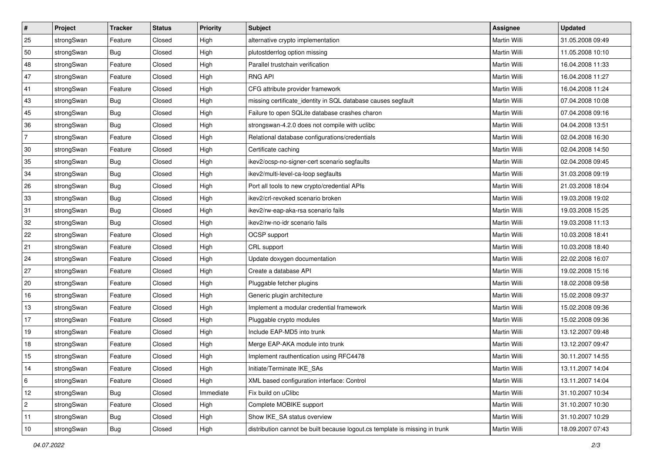| $\vert$ #      | Project    | <b>Tracker</b> | <b>Status</b> | Priority  | <b>Subject</b>                                                              | <b>Assignee</b>     | <b>Updated</b>   |
|----------------|------------|----------------|---------------|-----------|-----------------------------------------------------------------------------|---------------------|------------------|
| 25             | strongSwan | Feature        | Closed        | High      | alternative crypto implementation                                           | Martin Willi        | 31.05.2008 09:49 |
| 50             | strongSwan | Bug            | Closed        | High      | plutostderrlog option missing                                               | Martin Willi        | 11.05.2008 10:10 |
| 48             | strongSwan | Feature        | Closed        | High      | Parallel trustchain verification                                            | Martin Willi        | 16.04.2008 11:33 |
| 47             | strongSwan | Feature        | Closed        | High      | <b>RNG API</b>                                                              | <b>Martin Willi</b> | 16.04.2008 11:27 |
| 41             | strongSwan | Feature        | Closed        | High      | CFG attribute provider framework                                            | Martin Willi        | 16.04.2008 11:24 |
| 43             | strongSwan | <b>Bug</b>     | Closed        | High      | missing certificate_identity in SQL database causes segfault                | Martin Willi        | 07.04.2008 10:08 |
| 45             | strongSwan | Bug            | Closed        | High      | Failure to open SQLite database crashes charon                              | Martin Willi        | 07.04.2008 09:16 |
| 36             | strongSwan | Bug            | Closed        | High      | strongswan-4.2.0 does not compile with uclibc                               | Martin Willi        | 04.04.2008 13:51 |
| $\overline{7}$ | strongSwan | Feature        | Closed        | High      | Relational database configurations/credentials                              | Martin Willi        | 02.04.2008 16:30 |
| 30             | strongSwan | Feature        | Closed        | High      | Certificate caching                                                         | Martin Willi        | 02.04.2008 14:50 |
| 35             | strongSwan | Bug            | Closed        | High      | ikev2/ocsp-no-signer-cert scenario segfaults                                | Martin Willi        | 02.04.2008 09:45 |
| 34             | strongSwan | <b>Bug</b>     | Closed        | High      | ikev2/multi-level-ca-loop segfaults                                         | <b>Martin Willi</b> | 31.03.2008 09:19 |
| 26             | strongSwan | Bug            | Closed        | High      | Port all tools to new crypto/credential APIs                                | <b>Martin Willi</b> | 21.03.2008 18:04 |
| 33             | strongSwan | Bug            | Closed        | High      | ikev2/crl-revoked scenario broken                                           | Martin Willi        | 19.03.2008 19:02 |
| 31             | strongSwan | Bug            | Closed        | High      | ikev2/rw-eap-aka-rsa scenario fails                                         | Martin Willi        | 19.03.2008 15:25 |
| 32             | strongSwan | <b>Bug</b>     | Closed        | High      | ikev2/rw-no-idr scenario fails                                              | Martin Willi        | 19.03.2008 11:13 |
| 22             | strongSwan | Feature        | Closed        | High      | OCSP support                                                                | Martin Willi        | 10.03.2008 18:41 |
| 21             | strongSwan | Feature        | Closed        | High      | CRL support                                                                 | Martin Willi        | 10.03.2008 18:40 |
| 24             | strongSwan | Feature        | Closed        | High      | Update doxygen documentation                                                | Martin Willi        | 22.02.2008 16:07 |
| 27             | strongSwan | Feature        | Closed        | High      | Create a database API                                                       | Martin Willi        | 19.02.2008 15:16 |
| 20             | strongSwan | Feature        | Closed        | High      | Pluggable fetcher plugins                                                   | Martin Willi        | 18.02.2008 09:58 |
| 16             | strongSwan | Feature        | Closed        | High      | Generic plugin architecture                                                 | Martin Willi        | 15.02.2008 09:37 |
| 13             | strongSwan | Feature        | Closed        | High      | Implement a modular credential framework                                    | Martin Willi        | 15.02.2008 09:36 |
| 17             | strongSwan | Feature        | Closed        | High      | Pluggable crypto modules                                                    | Martin Willi        | 15.02.2008 09:36 |
| 19             | strongSwan | Feature        | Closed        | High      | Include EAP-MD5 into trunk                                                  | Martin Willi        | 13.12.2007 09:48 |
| 18             | strongSwan | Feature        | Closed        | High      | Merge EAP-AKA module into trunk                                             | Martin Willi        | 13.12.2007 09:47 |
| 15             | strongSwan | Feature        | Closed        | High      | Implement rauthentication using RFC4478                                     | Martin Willi        | 30.11.2007 14:55 |
| 14             | strongSwan | Feature        | Closed        | High      | Initiate/Terminate IKE_SAs                                                  | Martin Willi        | 13.11.2007 14:04 |
| 6              | strongSwan | Feature        | Closed        | High      | XML based configuration interface: Control                                  | Martin Willi        | 13.11.2007 14:04 |
| 12             | strongSwan | Bug            | Closed        | Immediate | Fix build on uClibc                                                         | Martin Willi        | 31.10.2007 10:34 |
| 2              | strongSwan | Feature        | Closed        | High      | Complete MOBIKE support                                                     | Martin Willi        | 31.10.2007 10:30 |
| 11             | strongSwan | Bug            | Closed        | High      | Show IKE SA status overview                                                 | Martin Willi        | 31.10.2007 10:29 |
| 10             | strongSwan | <b>Bug</b>     | Closed        | High      | distribution cannot be built because logout.cs template is missing in trunk | Martin Willi        | 18.09.2007 07:43 |